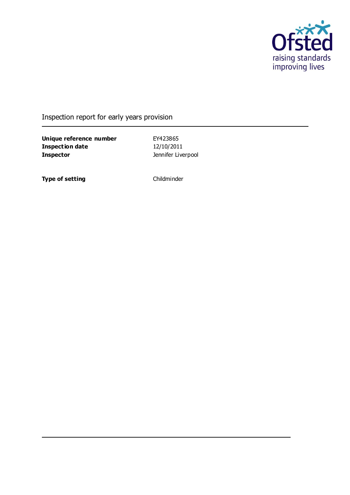

### Inspection report for early years provision

**Unique reference number** EY423865 **Inspection date** 12/10/2011 **Inspector Inspector Instead of Algebra** Jennifer Liverpool

**Type of setting** Childminder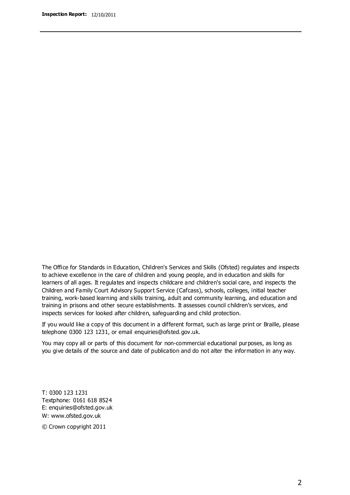The Office for Standards in Education, Children's Services and Skills (Ofsted) regulates and inspects to achieve excellence in the care of children and young people, and in education and skills for learners of all ages. It regulates and inspects childcare and children's social care, and inspects the Children and Family Court Advisory Support Service (Cafcass), schools, colleges, initial teacher training, work-based learning and skills training, adult and community learning, and education and training in prisons and other secure establishments. It assesses council children's services, and inspects services for looked after children, safeguarding and child protection.

If you would like a copy of this document in a different format, such as large print or Braille, please telephone 0300 123 1231, or email enquiries@ofsted.gov.uk.

You may copy all or parts of this document for non-commercial educational purposes, as long as you give details of the source and date of publication and do not alter the information in any way.

T: 0300 123 1231 Textphone: 0161 618 8524 E: enquiries@ofsted.gov.uk W: [www.ofsted.gov.uk](http://www.ofsted.gov.uk/)

© Crown copyright 2011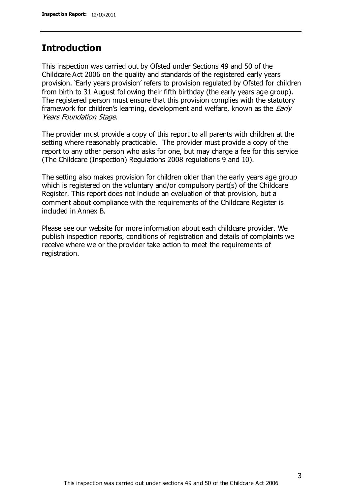### **Introduction**

This inspection was carried out by Ofsted under Sections 49 and 50 of the Childcare Act 2006 on the quality and standards of the registered early years provision. 'Early years provision' refers to provision regulated by Ofsted for children from birth to 31 August following their fifth birthday (the early years age group). The registered person must ensure that this provision complies with the statutory framework for children's learning, development and welfare, known as the *Early* Years Foundation Stage.

The provider must provide a copy of this report to all parents with children at the setting where reasonably practicable. The provider must provide a copy of the report to any other person who asks for one, but may charge a fee for this service (The Childcare (Inspection) Regulations 2008 regulations 9 and 10).

The setting also makes provision for children older than the early years age group which is registered on the voluntary and/or compulsory part(s) of the Childcare Register. This report does not include an evaluation of that provision, but a comment about compliance with the requirements of the Childcare Register is included in Annex B.

Please see our website for more information about each childcare provider. We publish inspection reports, conditions of registration and details of complaints we receive where we or the provider take action to meet the requirements of registration.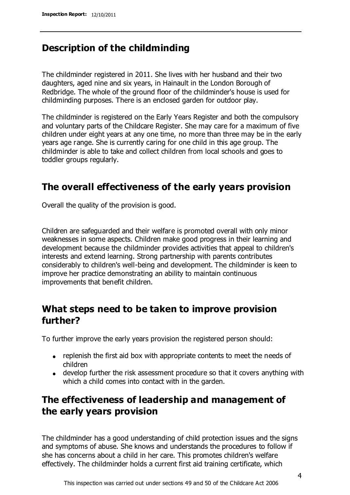### **Description of the childminding**

The childminder registered in 2011. She lives with her husband and their two daughters, aged nine and six years, in Hainault in the London Borough of Redbridge. The whole of the ground floor of the childminder's house is used for childminding purposes. There is an enclosed garden for outdoor play.

The childminder is registered on the Early Years Register and both the compulsory and voluntary parts of the Childcare Register. She may care for a maximum of five children under eight years at any one time, no more than three may be in the early years age range. She is currently caring for one child in this age group. The childminder is able to take and collect children from local schools and goes to toddler groups regularly.

## **The overall effectiveness of the early years provision**

Overall the quality of the provision is good.

Children are safeguarded and their welfare is promoted overall with only minor weaknesses in some aspects. Children make good progress in their learning and development because the childminder provides activities that appeal to children's interests and extend learning. Strong partnership with parents contributes considerably to children's well-being and development. The childminder is keen to improve her practice demonstrating an ability to maintain continuous improvements that benefit children.

# **What steps need to be taken to improve provision further?**

To further improve the early years provision the registered person should:

- replenish the first aid box with appropriate contents to meet the needs of children
- develop further the risk assessment procedure so that it covers anything with which a child comes into contact with in the garden.

# **The effectiveness of leadership and management of the early years provision**

The childminder has a good understanding of child protection issues and the signs and symptoms of abuse. She knows and understands the procedures to follow if she has concerns about a child in her care. This promotes children's welfare effectively. The childminder holds a current first aid training certificate, which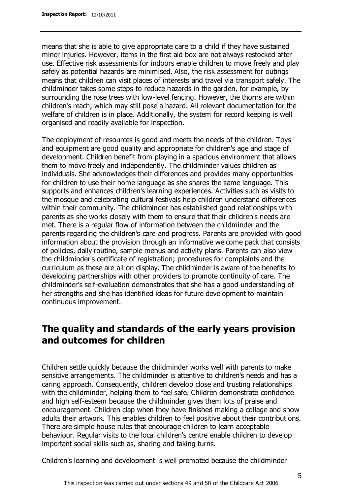means that she is able to give appropriate care to a child if they have sustained minor injuries. However, items in the first aid box are not always restocked after use. Effective risk assessments for indoors enable children to move freely and play safely as potential hazards are minimised. Also, the risk assessment for outings means that children can visit places of interests and travel via transport safely. The childminder takes some steps to reduce hazards in the garden, for example, by surrounding the rose trees with low-level fencing. However, the thorns are within children's reach, which may still pose a hazard. All relevant documentation for the welfare of children is in place. Additionally, the system for record keeping is well organised and readily available for inspection.

The deployment of resources is good and meets the needs of the children. Toys and equipment are good quality and appropriate for children's age and stage of development. Children benefit from playing in a spacious environment that allows them to move freely and independently. The childminder values children as individuals. She acknowledges their differences and provides many opportunities for children to use their home language as she shares the same language. This supports and enhances children's learning experiences. Activities such as visits to the mosque and celebrating cultural festivals help children understand differences within their community. The childminder has established good relationships with parents as she works closely with them to ensure that their children's needs are met. There is a regular flow of information between the childminder and the parents regarding the children's care and progress. Parents are provided with good information about the provision through an informative welcome pack that consists of policies, daily routine, sample menus and activity plans. Parents can also view the childminder's certificate of registration; procedures for complaints and the curriculum as these are all on display. The childminder is aware of the benefits to developing partnerships with other providers to promote continuity of care. The childminder's self-evaluation demonstrates that she has a good understanding of her strengths and she has identified ideas for future development to maintain continuous improvement.

# **The quality and standards of the early years provision and outcomes for children**

Children settle quickly because the childminder works well with parents to make sensitive arrangements. The childminder is attentive to children's needs and has a caring approach. Consequently, children develop close and trusting relationships with the childminder, helping them to feel safe. Children demonstrate confidence and high self-esteem because the childminder gives them lots of praise and encouragement. Children clap when they have finished making a collage and show adults their artwork. This enables children to feel positive about their contributions. There are simple house rules that encourage children to learn acceptable behaviour. Regular visits to the local children's centre enable children to develop important social skills such as, sharing and taking turns.

Children's learning and development is well promoted because the childminder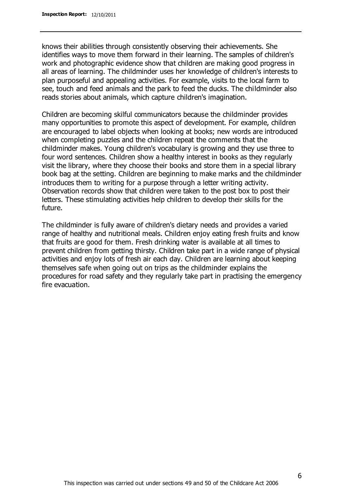knows their abilities through consistently observing their achievements. She identifies ways to move them forward in their learning. The samples of children's work and photographic evidence show that children are making good progress in all areas of learning. The childminder uses her knowledge of children's interests to plan purposeful and appealing activities. For example, visits to the local farm to see, touch and feed animals and the park to feed the ducks. The childminder also reads stories about animals, which capture children's imagination.

Children are becoming skilful communicators because the childminder provides many opportunities to promote this aspect of development. For example, children are encouraged to label objects when looking at books; new words are introduced when completing puzzles and the children repeat the comments that the childminder makes. Young children's vocabulary is growing and they use three to four word sentences. Children show a healthy interest in books as they regularly visit the library, where they choose their books and store them in a special library book bag at the setting. Children are beginning to make marks and the childminder introduces them to writing for a purpose through a letter writing activity. Observation records show that children were taken to the post box to post their letters. These stimulating activities help children to develop their skills for the future.

The childminder is fully aware of children's dietary needs and provides a varied range of healthy and nutritional meals. Children enjoy eating fresh fruits and know that fruits are good for them. Fresh drinking water is available at all times to prevent children from getting thirsty. Children take part in a wide range of physical activities and enjoy lots of fresh air each day. Children are learning about keeping themselves safe when going out on trips as the childminder explains the procedures for road safety and they regularly take part in practising the emergency fire evacuation.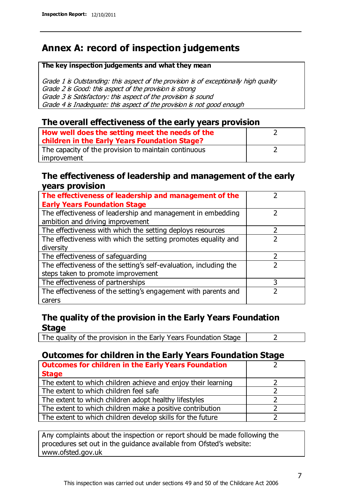# **Annex A: record of inspection judgements**

#### **The key inspection judgements and what they mean**

Grade 1 is Outstanding: this aspect of the provision is of exceptionally high quality Grade 2 is Good: this aspect of the provision is strong Grade 3 is Satisfactory: this aspect of the provision is sound Grade 4 is Inadequate: this aspect of the provision is not good enough

#### **The overall effectiveness of the early years provision**

| How well does the setting meet the needs of the<br>children in the Early Years Foundation Stage? |  |
|--------------------------------------------------------------------------------------------------|--|
| The capacity of the provision to maintain continuous                                             |  |
| improvement                                                                                      |  |

#### **The effectiveness of leadership and management of the early years provision**

| The effectiveness of leadership and management of the             |   |
|-------------------------------------------------------------------|---|
| <b>Early Years Foundation Stage</b>                               |   |
| The effectiveness of leadership and management in embedding       |   |
| ambition and driving improvement                                  |   |
| The effectiveness with which the setting deploys resources        |   |
| The effectiveness with which the setting promotes equality and    |   |
| diversity                                                         |   |
| The effectiveness of safeguarding                                 |   |
| The effectiveness of the setting's self-evaluation, including the |   |
| steps taken to promote improvement                                |   |
| The effectiveness of partnerships                                 | 3 |
| The effectiveness of the setting's engagement with parents and    |   |
| carers                                                            |   |

### **The quality of the provision in the Early Years Foundation Stage**

The quality of the provision in the Early Years Foundation Stage  $\vert$  2

### **Outcomes for children in the Early Years Foundation Stage**

| <b>Outcomes for children in the Early Years Foundation</b>    |  |
|---------------------------------------------------------------|--|
| <b>Stage</b>                                                  |  |
| The extent to which children achieve and enjoy their learning |  |
| The extent to which children feel safe                        |  |
| The extent to which children adopt healthy lifestyles         |  |
| The extent to which children make a positive contribution     |  |
| The extent to which children develop skills for the future    |  |

Any complaints about the inspection or report should be made following the procedures set out in the guidance available from Ofsted's website: www.ofsted.gov.uk